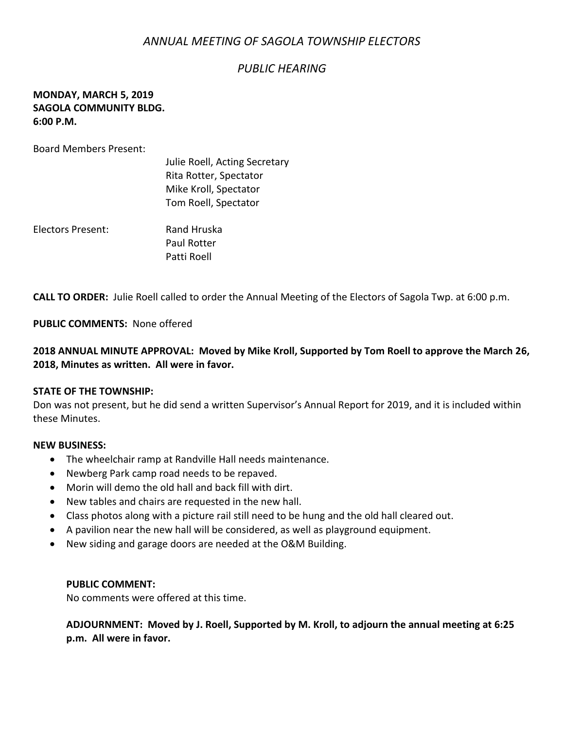# *ANNUAL MEETING OF SAGOLA TOWNSHIP ELECTORS*

### *PUBLIC HEARING*

### **MONDAY, MARCH 5, 2019 SAGOLA COMMUNITY BLDG. 6:00 P.M.**

Board Members Present:

|                   | Julie Roell, Acting Secretary<br>Rita Rotter, Spectator<br>Mike Kroll, Spectator<br>Tom Roell, Spectator |
|-------------------|----------------------------------------------------------------------------------------------------------|
| Electors Present: | Rand Hruska<br><b>Paul Rotter</b><br>Patti Roell                                                         |

**CALL TO ORDER:** Julie Roell called to order the Annual Meeting of the Electors of Sagola Twp. at 6:00 p.m.

**PUBLIC COMMENTS:** None offered

**2018 ANNUAL MINUTE APPROVAL: Moved by Mike Kroll, Supported by Tom Roell to approve the March 26, 2018, Minutes as written. All were in favor.**

#### **STATE OF THE TOWNSHIP:**

Don was not present, but he did send a written Supervisor's Annual Report for 2019, and it is included within these Minutes.

#### **NEW BUSINESS:**

- The wheelchair ramp at Randville Hall needs maintenance.
- Newberg Park camp road needs to be repaved.
- Morin will demo the old hall and back fill with dirt.
- New tables and chairs are requested in the new hall.
- Class photos along with a picture rail still need to be hung and the old hall cleared out.
- A pavilion near the new hall will be considered, as well as playground equipment.
- New siding and garage doors are needed at the O&M Building.

#### **PUBLIC COMMENT:**

No comments were offered at this time.

**ADJOURNMENT: Moved by J. Roell, Supported by M. Kroll, to adjourn the annual meeting at 6:25 p.m. All were in favor.**